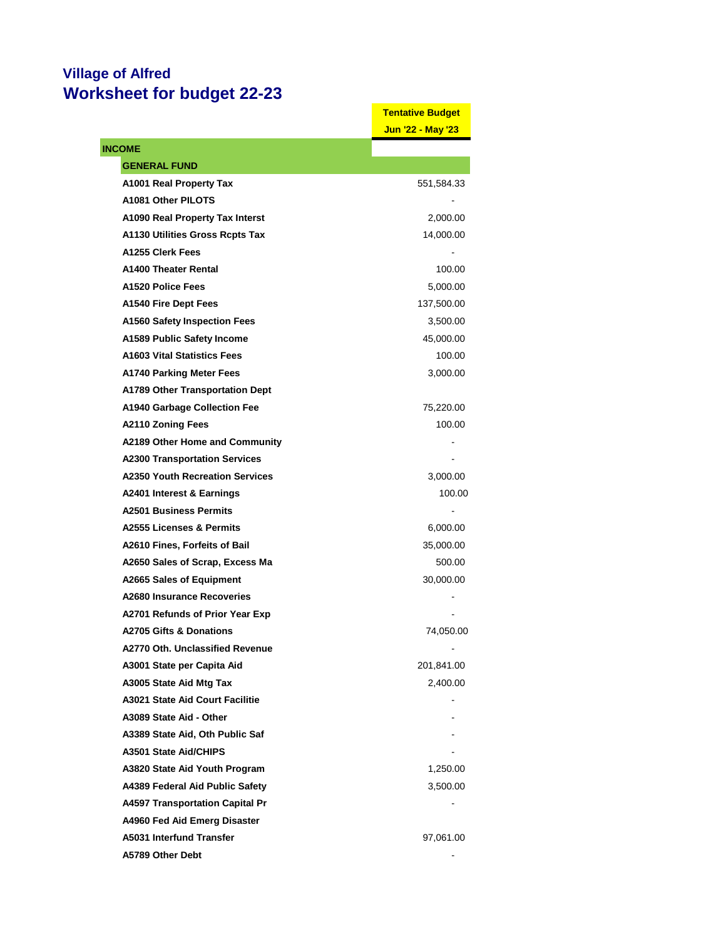## **Village of Alfred Worksheet for budget 22-23**

**Tentative Budget Jun '22 - May '23**

|--|

| INCOME                                 |                |
|----------------------------------------|----------------|
| <b>GENERAL FUND</b>                    |                |
| A1001 Real Property Tax                | 551,584.33     |
| A1081 Other PILOTS                     |                |
| A1090 Real Property Tax Interst        | 2,000.00       |
| <b>A1130 Utilities Gross Rcpts Tax</b> | 14,000.00      |
| A1255 Clerk Fees                       |                |
| <b>A1400 Theater Rental</b>            | 100.00         |
| A1520 Police Fees                      | 5,000.00       |
| A1540 Fire Dept Fees                   | 137,500.00     |
| A1560 Safety Inspection Fees           | 3,500.00       |
| A1589 Public Safety Income             | 45,000.00      |
| <b>A1603 Vital Statistics Fees</b>     | 100.00         |
| <b>A1740 Parking Meter Fees</b>        | 3,000.00       |
| A1789 Other Transportation Dept        |                |
| <b>A1940 Garbage Collection Fee</b>    | 75,220.00      |
| <b>A2110 Zoning Fees</b>               | 100.00         |
| A2189 Other Home and Community         |                |
| <b>A2300 Transportation Services</b>   |                |
| <b>A2350 Youth Recreation Services</b> | 3,000.00       |
| A2401 Interest & Earnings              | 100.00         |
| <b>A2501 Business Permits</b>          | $\blacksquare$ |
| <b>A2555 Licenses &amp; Permits</b>    | 6,000.00       |
| A2610 Fines, Forfeits of Bail          | 35,000.00      |
| A2650 Sales of Scrap, Excess Ma        | 500.00         |
| <b>A2665 Sales of Equipment</b>        | 30,000.00      |
| A2680 Insurance Recoveries             |                |
| A2701 Refunds of Prior Year Exp        |                |
| <b>A2705 Gifts &amp; Donations</b>     | 74,050.00      |
| A2770 Oth. Unclassified Revenue        |                |
| A3001 State per Capita Aid             | 201,841.00     |
| A3005 State Aid Mtg Tax                | 2,400.00       |
| A3021 State Aid Court Facilitie        |                |
| A3089 State Aid - Other                |                |
| A3389 State Aid, Oth Public Saf        |                |
| <b>A3501 State Aid/CHIPS</b>           |                |
| A3820 State Aid Youth Program          | 1,250.00       |
| A4389 Federal Aid Public Safety        | 3,500.00       |
| <b>A4597 Transportation Capital Pr</b> |                |
| A4960 Fed Aid Emerg Disaster           |                |
| A5031 Interfund Transfer               | 97,061.00      |
| A5789 Other Debt                       |                |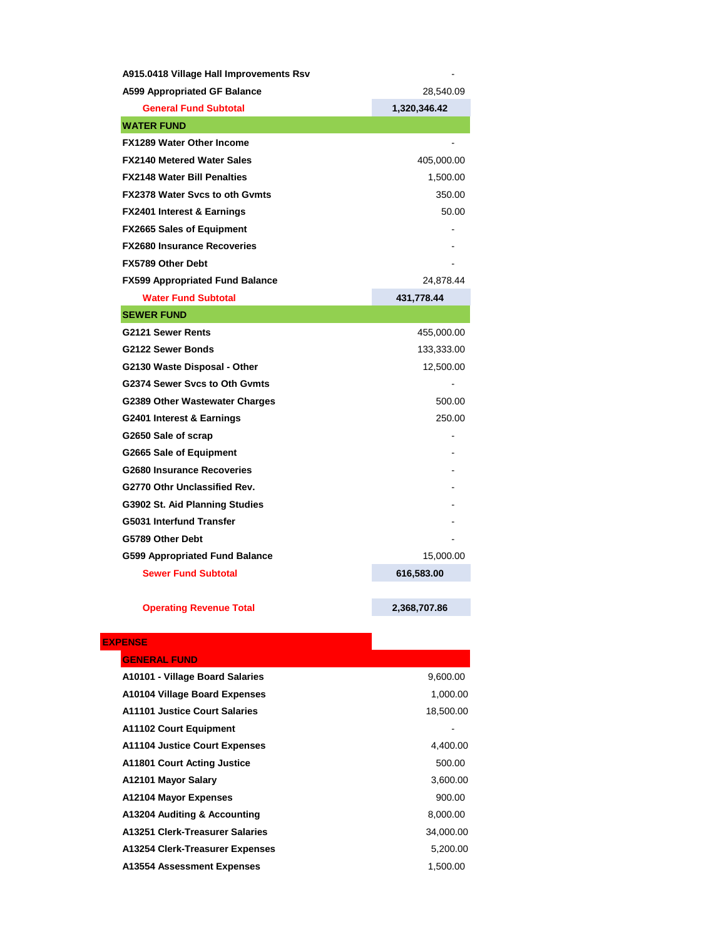| A915.0418 Village Hall Improvements Rsv |              |
|-----------------------------------------|--------------|
| A599 Appropriated GF Balance            | 28,540.09    |
| <b>General Fund Subtotal</b>            | 1,320,346.42 |
| <b>WATER FUND</b>                       |              |
| FX1289 Water Other Income               |              |
| <b>FX2140 Metered Water Sales</b>       | 405,000.00   |
| <b>FX2148 Water Bill Penalties</b>      | 1,500.00     |
| <b>FX2378 Water Sycs to oth Gymts</b>   | 350.00       |
| <b>FX2401 Interest &amp; Earnings</b>   | 50.00        |
| <b>FX2665 Sales of Equipment</b>        |              |
| <b>FX2680 Insurance Recoveries</b>      |              |
| <b>FX5789 Other Debt</b>                |              |
| <b>FX599 Appropriated Fund Balance</b>  | 24,878.44    |
| <b>Water Fund Subtotal</b>              | 431,778.44   |
| <b>SEWER FUND</b>                       |              |
| G2121 Sewer Rents                       | 455,000.00   |
| G2122 Sewer Bonds                       | 133,333.00   |
| G2130 Waste Disposal - Other            | 12,500.00    |
| G2374 Sewer Svcs to Oth Gymts           |              |
| G2389 Other Wastewater Charges          | 500.00       |
| G2401 Interest & Earnings               | 250.00       |
| G2650 Sale of scrap                     |              |
| G2665 Sale of Equipment                 |              |
| G2680 Insurance Recoveries              |              |
| G2770 Othr Unclassified Rev.            |              |
| G3902 St. Aid Planning Studies          |              |
| G5031 Interfund Transfer                |              |
| G5789 Other Debt                        |              |
| <b>G599 Appropriated Fund Balance</b>   | 15,000.00    |
| <b>Sewer Fund Subtotal</b>              | 616,583.00   |
|                                         |              |
| <b>Operating Revenue Total</b>          | 2,368,707.86 |
|                                         |              |
| <b>PENSE</b>                            |              |
| <b>GENERAL FUND</b>                     |              |
| A10101 - Village Board Salaries         | 9,600.00     |
| A10104 Village Board Expenses           | 1,000.00     |
| <b>A11101 Justice Court Salaries</b>    | 18,500.00    |
| <b>A11102 Court Equipment</b>           |              |
| <b>A11104 Justice Court Expenses</b>    | 4 400 00     |

## **EX** A11104 Justice Court Expenses 4,400.00 **A11801 Court Acting Justice 500.00 A12101 Mayor Salary** 3,600.00 **A12104 Mayor Expenses** 900.00 **A13204 Auditing & Accounting 6.000.00 8,000.00 A13251 Clerk-Treasurer Salaries** 34,000.00 **A13254 Clerk-Treasurer Expenses** 5,200.00 **A13554 Assessment Expenses** 1,500.00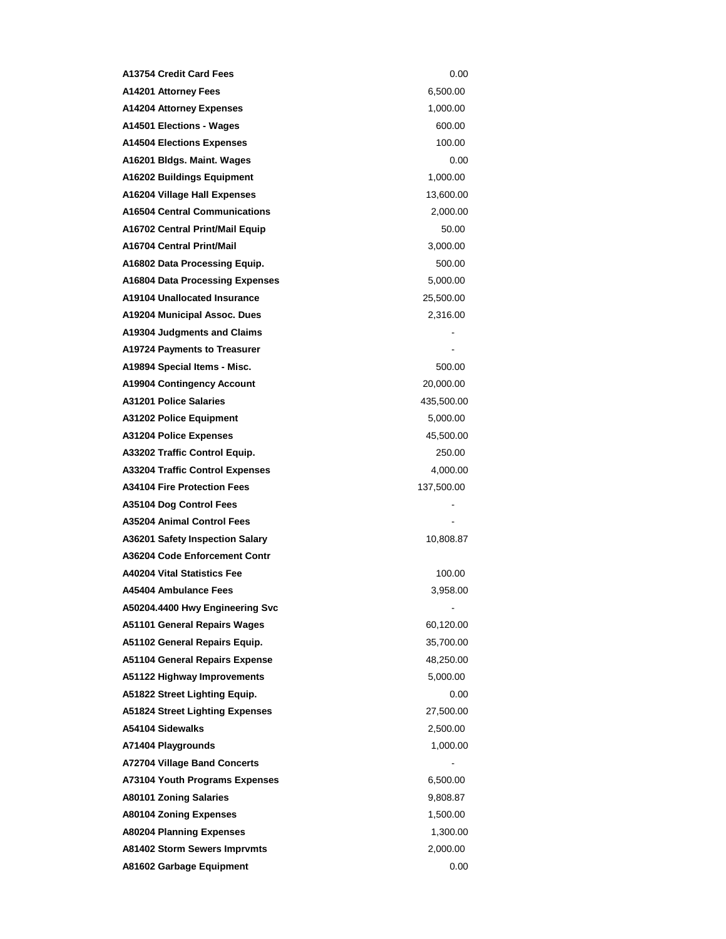| A13754 Credit Card Fees                                         | 0.00                         |
|-----------------------------------------------------------------|------------------------------|
| A14201 Attorney Fees                                            | 6,500.00                     |
| A14204 Attorney Expenses                                        | 1,000.00                     |
| A14501 Elections - Wages                                        | 600.00                       |
| <b>A14504 Elections Expenses</b>                                | 100.00                       |
| A16201 Bldgs. Maint. Wages                                      | 0.00                         |
| A16202 Buildings Equipment                                      | 1,000.00                     |
| A16204 Village Hall Expenses                                    | 13,600.00                    |
| <b>A16504 Central Communications</b>                            | 2,000.00                     |
| A16702 Central Print/Mail Equip                                 | 50.00                        |
| A16704 Central Print/Mail                                       | 3,000.00                     |
| A16802 Data Processing Equip.                                   | 500.00                       |
| A16804 Data Processing Expenses                                 | 5,000.00                     |
| A19104 Unallocated Insurance                                    | 25,500.00                    |
| A19204 Municipal Assoc. Dues                                    | 2,316.00                     |
| A19304 Judgments and Claims                                     | $\qquad \qquad \blacksquare$ |
| <b>A19724 Payments to Treasurer</b>                             |                              |
| A19894 Special Items - Misc.                                    | 500.00                       |
| <b>A19904 Contingency Account</b>                               | 20,000.00                    |
| <b>A31201 Police Salaries</b>                                   | 435,500.00                   |
| <b>A31202 Police Equipment</b>                                  | 5,000.00                     |
| <b>A31204 Police Expenses</b>                                   | 45,500.00                    |
| A33202 Traffic Control Equip.                                   | 250.00                       |
| <b>A33204 Traffic Control Expenses</b>                          | 4,000.00                     |
| <b>A34104 Fire Protection Fees</b>                              | 137,500.00                   |
| A35104 Dog Control Fees                                         |                              |
| <b>A35204 Animal Control Fees</b>                               |                              |
| A36201 Safety Inspection Salary                                 | 10,808.87                    |
| A36204 Code Enforcement Contr                                   |                              |
| <b>A40204 Vital Statistics Fee</b>                              | 100.00                       |
| A45404 Ambulance Fees                                           | 3,958.00                     |
| A50204.4400 Hwy Engineering Svc                                 |                              |
| A51101 General Repairs Wages                                    | 60,120.00                    |
| A51102 General Repairs Equip.                                   | 35,700.00                    |
| <b>A51104 General Repairs Expense</b>                           | 48,250.00                    |
| A51122 Highway Improvements                                     | 5,000.00                     |
| A51822 Street Lighting Equip.                                   | 0.00                         |
| A51824 Street Lighting Expenses                                 | 27,500.00                    |
| A54104 Sidewalks                                                | 2,500.00                     |
| A71404 Playgrounds                                              | 1,000.00                     |
| <b>A72704 Village Band Concerts</b>                             |                              |
| A73104 Youth Programs Expenses                                  | 6,500.00                     |
| <b>A80101 Zoning Salaries</b>                                   | 9,808.87                     |
| <b>A80104 Zoning Expenses</b>                                   | 1,500.00                     |
| <b>A80204 Planning Expenses</b>                                 | 1,300.00                     |
| <b>A81402 Storm Sewers Imprymts</b><br>A81602 Garbage Equipment | 2,000.00                     |
|                                                                 | 0.00                         |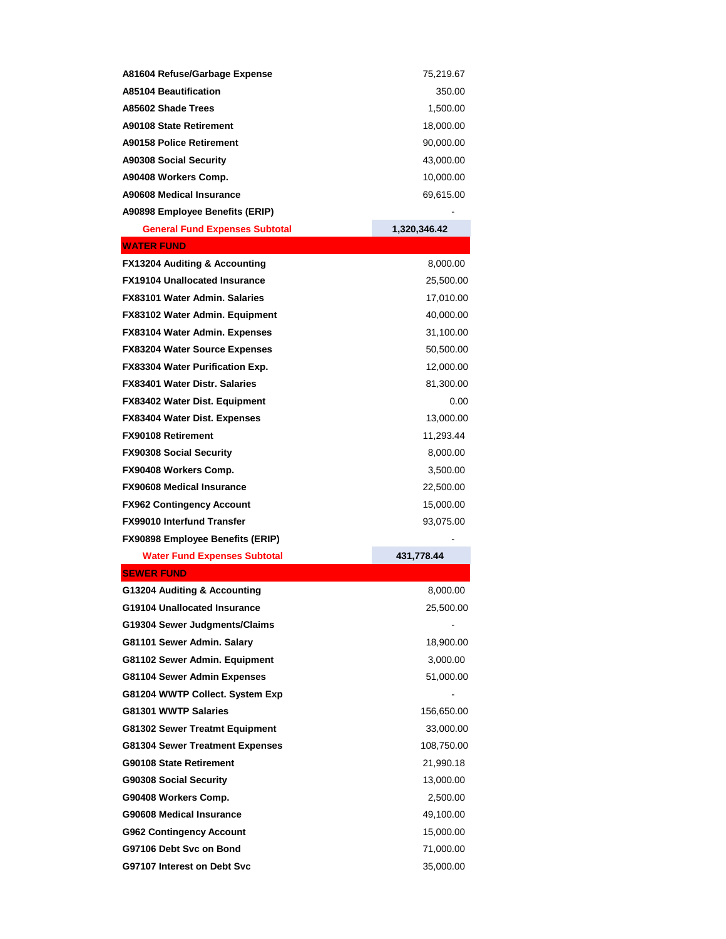| A81604 Refuse/Garbage Expense            | 75,219.67    |
|------------------------------------------|--------------|
| <b>A85104 Beautification</b>             | 350.00       |
| A85602 Shade Trees                       | 1,500.00     |
| <b>A90108 State Retirement</b>           | 18,000.00    |
| <b>A90158 Police Retirement</b>          | 90,000.00    |
| <b>A90308 Social Security</b>            | 43,000.00    |
| A90408 Workers Comp.                     | 10,000.00    |
| A90608 Medical Insurance                 | 69,615.00    |
| A90898 Employee Benefits (ERIP)          |              |
| <b>General Fund Expenses Subtotal</b>    | 1,320,346.42 |
| <b>WATER FUND</b>                        |              |
| <b>FX13204 Auditing &amp; Accounting</b> | 8,000.00     |
| <b>FX19104 Unallocated Insurance</b>     | 25,500.00    |
| <b>FX83101 Water Admin, Salaries</b>     | 17,010.00    |
| FX83102 Water Admin. Equipment           | 40,000.00    |
| FX83104 Water Admin. Expenses            | 31,100.00    |
| <b>FX83204 Water Source Expenses</b>     | 50,500.00    |
| FX83304 Water Purification Exp.          | 12,000.00    |
| <b>FX83401 Water Distr. Salaries</b>     | 81,300.00    |
| FX83402 Water Dist. Equipment            | 0.00         |
| FX83404 Water Dist. Expenses             | 13,000.00    |
| <b>FX90108 Retirement</b>                | 11,293.44    |
| <b>FX90308 Social Security</b>           | 8,000.00     |
| FX90408 Workers Comp.                    | 3,500.00     |
| <b>FX90608 Medical Insurance</b>         | 22,500.00    |
| <b>FX962 Contingency Account</b>         | 15,000.00    |
| <b>FX99010 Interfund Transfer</b>        | 93,075.00    |
| <b>FX90898 Employee Benefits (ERIP)</b>  |              |
| <b>Water Fund Expenses Subtotal</b>      | 431,778.44   |
| <b>SEWER FUND</b>                        |              |
| G13204 Auditing & Accounting             | 8,000.00     |
|                                          |              |
| G19104 Unallocated Insurance             | 25,500.00    |
| G19304 Sewer Judgments/Claims            |              |
| G81101 Sewer Admin. Salary               | 18,900.00    |
| G81102 Sewer Admin. Equipment            | 3,000.00     |
| G81104 Sewer Admin Expenses              | 51,000.00    |
| G81204 WWTP Collect. System Exp          |              |
| G81301 WWTP Salaries                     | 156,650.00   |
| <b>G81302 Sewer Treatmt Equipment</b>    | 33,000.00    |
| <b>G81304 Sewer Treatment Expenses</b>   | 108,750.00   |
| G90108 State Retirement                  | 21,990.18    |
| <b>G90308 Social Security</b>            | 13,000.00    |
| G90408 Workers Comp.                     | 2,500.00     |
| G90608 Medical Insurance                 | 49,100.00    |
| G962 Contingency Account                 | 15,000.00    |
| G97106 Debt Svc on Bond                  | 71,000.00    |